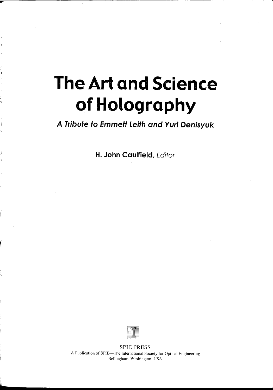# **The Art and Science of Holography**

**...**

b

**A Tribute to Emmett Leith and Yuri Denisyuk**

**H. John Caulfield,** Editor



SPIE PRESS A Publication of SPIE-The International Society for Optical Engineering Bcllingham, Washington USA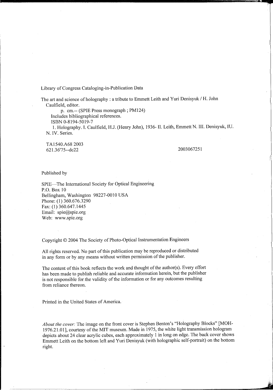Library of Congress Cataloging-in-Publication Data

The art and science of holography : a tribute to Emmett Leith and Yuri Denisyuk / H. John Caulfield, editor.

p. cm.-- (SPIE Press monograph; PM124) Includes bibliographical references.

ISBN 0-8194-5019-7

1. Holography. I. Caulfield, HJ. (Henry John), 1936- 11. Leith, Emmett N. Ill. Denisyuk, IV. N. IV. Series.

TAI540.A682003 621.36'75--dc22

2003067251

**:nr ttYfBW£fi.**

Published by

SPIE-The International Society for Optical Engineering P.O. Box 10 Bellingham, Washington 98227-0010 USA Phone: (1) 360.676.3290 Fax: (I) 360.647.1445 Email: spie@spie.org Web: www.spie.org

Copyright © 2004 The Society of Photo-Optical Instrumentation Engineers

All rights reserved. No part of this publication may be reproduced or distributed in any form or by any means without written permission of the publisher.

The content of this book reflects the work and thought of the author(s). Every effort has been made to publish reliable and accurate information herein, but the publisher is not responsible for the validity of the information or for any outcomes resulting from reliance thereon.

Printed in the United States of America.

*About the cover:* The image on the front cover is Stephen Benton's "Holography Blocks" [MOH-1976.21.01], courtesy of the MIT museum. Made in 1975, the white light transmission hologram depicts about 24 clear acrylic cubes, each approximately 1 in long on edge. The back cover shows Emmett Leith on the bottom left and Yuri Denisyuk (with holographic self-portrait) on the bottom right.

--~----j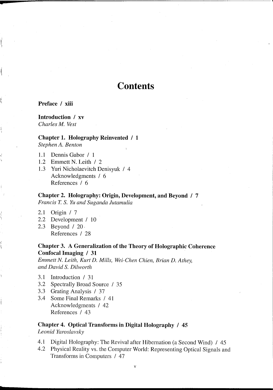#### Preface / xiii

**•**

# Introduction / xv

*Charles M. Vest*

### Chapter 1. Holography Reinvented / 1

*Stephen A. Benton*

- 1.1 Dennis Gabor / 1
- 1.2 Emmett N. Leith / 2
- 1.3 Yuri Nicho1aevitch Denisyuk / 4 Acknowledgments / 6 References / 6

Chapter 2. Holography: Origin, Development, and Beyond / 7 *Francis T.* S. *Yu and Suganda lutamulia*

- 2.1 Origin / 7
- 2.2 Development / 10
- 2.3 Beyond / 20· References / 28

# Chapter 3. A Generalization of the Theory of Holographic Coherence Confocal Imaging / 31

*Emmett N. Leith, Kurt* D. *Mills, Wei-Chen Chien, Brian* D. *Athey, and David* S. *Dilworth*

- 3.1 Introduction / 31
- 3.2 Spectrally Broad Source / 35
- 3.3 Grating Analysis / 37
- 3.4 Some Final Remarks / 41 Acknowledgments / 42 References / 43

# Chapter 4. Optical Transforms in Digital Holography / 45

*Leonid Yaroslavsky*

**t**

- 4.1 Digital Holography: The Revival after Hibernation (a Second Wind) / 45
- 4.2 Physical Reality vs. the Computer World: Representing Optical Signals and Transforms in Computers / 47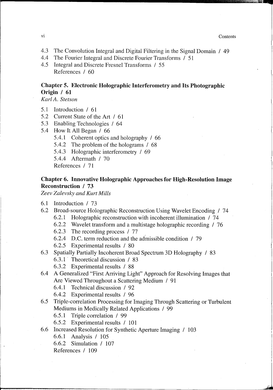vi Contents and the content of the content of the content of the content of the content of the content of the content of the content of the content of the content of the content of the content of the content of the content

 $\overline{\phantom{a}}$ 

- 4.3 The Convolution Integral and Digital Filtering in the Signal Domain / 49
- 4.4 The Fourier Integral and Discrete Fourier Transforms / 51
- 4.5 Integral and Discrete Fresnel Transforms / 55 References / 60

# **Chapter 5. Electronic Holographic Interferometry and Its Photographic Origin / 61**

*Karl A. Stetson*

- 5.1 Introduction / 61
- 5.2 Current State of the Art / 61
- 5.3 Enabling Technologies / 64
- 5.4 How It All Began / 66
	- 5.4.1 Coherent optics and holography / 66
	- 5.4.2 The problem of the holograms / 68
	- 5.4.3 Holographic interferometry / 69
	- 5.4.4 Aftermath / 70

References / 71

# **Chapter 6. Innovative Holographic Approaches for High-Resolution Image Reconstruction / 73**

*Zeev Zalevsky and Kurt Mills*

- 6.1 Introduction / 73
- 6.2 Broad-source Holographic Reconstruction Using Wavelet Encoding / 74 6.2.1 Holographic reconstruction with incoherent illumination / 74
	-
	- 6.2.2 Wavelet transform and a multistage holographic recording / 76
	- 6.2.3 The recording process / 77 .
	- 6.2.4 D.C. term reduction and the admissible condition  $/79$
	- 6.2.5 Experimental results / 80
- 6.3 Spatially Partially Incoherent Broad Spectrum 3D Holography / 83
	- 6.3.1 . Theoretical discussion / 83
	- 6.3.2 Experimental results / 88
- 6.4 A Generalized "First Arriving Light" Approach for Resolving Images that Are Viewed Throughout a Scattering Medium / 91
	- 6.4.1 Technical discussion / 92
	- 6.4.2 Experimental results / 96
- 6.5 Triple-correlation Processing for Imaging Through Scattering or Turbulent Mediums in Medically Related Applications / 99
	- 6.5.1 Triple correlation / 99
	- 6.5.2 Experimental results / 101
- 6.6 Increased Resolution for Synthetic Aperture Imaging / 103
	- 6.6.1 Analysis / 105
	- 6.6.2 Simulation / 107

References / 109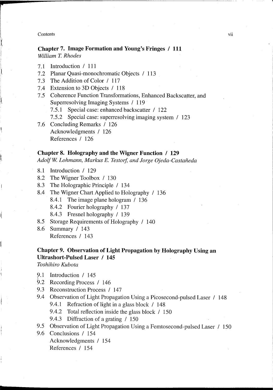## **Chapter 7. Image Formation and Young's Fringes / 111** *William T. Rhodes*

- 7.1 Introduction / **111**
- 7.2 Planar Quasi-monochromatic Objects / 113
- 7.3 The Addition of Color / 117
- 7.4 Extension to 3D Objects / 118
- 7.5 Coherence Function Transformations, Enhanced Backscatter, and Superresolving Imaging Systems / 119
	- 7.5.1 Special case: enhanced backscatter / 122
	- 7.5.2 Special case: superresolving imaging system / 123
- 7.6 Concluding Remarks / 126 Acknowledgments / 126 References / 126

#### **Chapter 8. Holography and the Wigner Function / 129**

*AdolfW. Lohmann, Markus E. Testorf, and lorge Ojeda-Castaiieda*

- 8.1 Introduction / 129
- 8.2 The Wigner Toolbox / 130
- 8.3 The Holographic Principle / 134
- 8.4 The Wigner Chart Applied to Holography / 136
	- 8.4.1 The image plane hologram / 136
	- 8.4.2 Fourier holography / 137
	- 8.4.3 Fresnel holography / 139
- 8.5 Storage Requirements of Holography / 140
- 8.6 Summary / 143 References / 143

# **Chapter 9. Observation of Light Propagation by Holography Using an Ultrashort-Pulsed Laser / 145**

*Toshihiro Kubota*

- 9.1 Introduction / 145
- 9.2 Recording Process / 146
- 9.3 Reconstruction Process / 147
- 9.4 Observation of Light Propagation Using a Picosecond-pulsed Laser / 148
	- 9.4.1 Refraction of light in a glass block / 148
	- 9.4.2 Total reflection inside the glass block / 150
	- 9.4.3 Diffraction of a grating / 150
- 9.5 Observation of Light Propagation Using a Femtosecond-pulsed Laser / 150

9.6 Conclusions / 154 Acknowledgments / 154 References / 154

**,**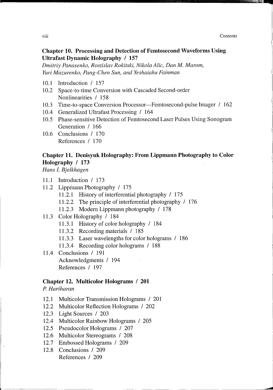$\overline{\phantom{a}}$ 

# **Chapter 10. Processing and Detection of Femtosecond Waveforms Using Ultrafast Dynamic Holography** / 157

*Dmitriy Panasenko, Rostislav Rokitski, Nikola Alic, Dan M. Marom, Yuri Mazurenko, Pang-Chen Sun, and Yeshaiahu Fainman*

- 10.1 Introduction / 157
- 10.2 Space-to-time Conversion with Cascaded Second-order Nonlinearities / 158
- 10.3 Time-ta-space Conversion Processor-Femtosecond-pulse Imager / 162
- 10.4 Generalized Ultrafast Processing / 164
- 10.5 Phase-sensitive Detection of Femtosecond Laser Pulses Using Sonogram Generation / 166
- 10.6 Conclusions / 170 References / 170

# **Chapter 11. Denisyuk Holography: From LippmannPhotography to Color Holography / 173**

*Hans I. Bjelkhagen*

- 11.1 Introduction / 173
- 11.2 Lippinann Photography / 175
	- 11.2.1 History of interferentia1 photography / 175
	- 11.2.2 The principle of interferential photography / 176
	- 11.2.3 Modern Lippmann photography / 178
- 11.3 Color Holography / 184
	- 11.3.1 History of color holography / 184
	- 11.3.2 Recording materials / 185
	- 11.3.3 Laser wavelengths for color holograms / 186

11.3.4 Recording color holograms / 188

11.4 Conclusions / 191 Acknowledgments / 194 References / 197

#### **Chapter 12. Multicolor Holograms / 201**

*P. Hariharan*

- 12.1 Multicolor Transmission Holograms / 201
- 12.2 Multicolor Reflection Holograms / 202
- 12.3 Light Sources / 203
- 12.4 Mu1tico1or Rainbow Holograms / 205
- 12.5 Pseudoco1or Holograms / 207
- 12.6 Multico1or Stereograms / 208
- 12.7 Embossed Holograms / 209
- 12.8 Conclusions / 209 References / 209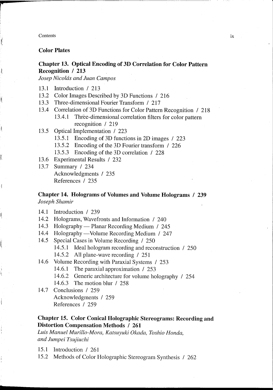**r**

11,

1

J.

 $\overline{1}$ 

Ø

J

I(

**\$**

## **Color Plates**

#### **Chapter 13. Optical Encoding of 3D Correlation for Color Pattern Recognition / 213**

*Josep Nicolds and Juan Campos*

- 13.1 Introduction / 213
- 13.2 Co10rImages Described by 3D Functions / 216
- 13.3 Three-dimensional Fourier Transform / 217
- 13.4 Correlation of 3D Functions for Color Pattern Recognition / 218
	- 13.4.1 Three-dimensional correlation filters for color pattern recognition / 219
- 13.5 Optical Implementation / 223
	- 13.5.1 Encoding of 3D functions in 2D images / 223
	- 13.5.2 Encoding of the 3D Fourier transform / 226
	- 13.5.3 Encoding of the 3D correlation / 228
- 13.6 Experimental Results / 232
- 13.7 Summary / 234 Acknowledgments / 235 References / 235

# **Chapter 14. Holograms of Volumes and Volume Holograms / 239** *Joseph Shamir*

- 14.1 Introduction / 239
- 14.2 Holograms, Wavefronts and Information / 240
- 14.3 Holography Planar Recording Medium / 245
- 14.4 Holography Volume Recording Medium / 247
- 14.5 Special Cases in Volume Recording / 250
	- 14.5.1 Ideal hologram recording and reconstruction / 250
	- 14.5.2 All plane-wave recording / 251
- 14.6 Volume Recording with Paraxial Systems / 253
	- 14.6.1 The paraxial approximation / 253
	- 14.6.2 Generic architecture for volume holography / 254
	- 14.6.3 The motion blur / 258
- 14.7 Conclusions / 259 Acknowledgments / 259 References / 259

# **Chapter 15. Color Conical Holographic Stereograms: Recording and Distortion Compensation Methods / 261**

*Luis Manuel Murillo-Mora, Katsuyuki Okada, Toshio Honda, and Jumpei Tsujiuchi*

- 15.1 Introduction / 261
- 15.2 Methods of Color Holographic Stereogram Synthesis / 262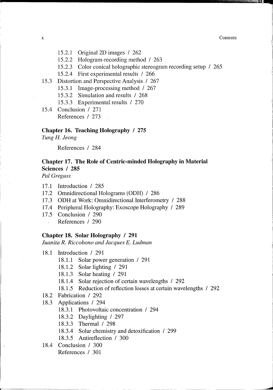x Contents

 $\mathbb{Z}$  is  $\mathbb{Z}$  ,  $\mathbb{Z}$  ,  $\mathbb{Z}$  ,  $\mathbb{Z}$ 

-~

- 15.2.1 Original2D images / 262
- 15.2.2 Hologram-recording method / 263
- 15.2.3 Color conical holographic stereogram recording setup / 265
- 15.2.4 First experimental results / 266
- 15.3 Distortion and Perspective Analysis / 267
	- 15.3.1 Image-processing method / 267
	- 15.3.2 Simulation and results / 268
	- 15.3.3 Experimental results / 270
- 15.4 Conclusion / 271 References / 273

#### **Chapter 16. Teaching Holography / 275**

*Tung* H. *leong*

References / 284

# **Chapter 17. The Role of Centric-minded Holography in Material Sciences / 285**

*Pal Greguss*

- 17.1 Introduction / 285
- 17.2 Omnidirectional Holograms (ODH) / 286
- 17.3 **ODH** at Work: Omnidirectional Interferometry / 288
- 17.4 Peripheral Holography: Exoscope Holography / 289
- 17.5 Conclusion / 290
	- References / 290  $\bar{\lambda}$

#### **Chapter 18. Solar Holography / 291**

*luanita R. Riccobono and lacques* E. *Ludman*

18.1 Introduction / 291

- 18.1.1 Solar power generation / 291
- 18.1.2 Solar lighting / 291
- 18.1.3 Solar heating / 291
- 18.1.4 Solar rejection of certain wavelengths / 292
- 18.1.5 Reduction of reflection losses at certain wavelengths / 292
- 18.2 Fabrication / 292
- 18.3 Applications / 294
	- 18.3.1 Photovoltaic concentration / 294
	- 18.3.2 Daylighting / 297
	- 18.3.3 Thermal / 298
	- 18.3.4 Solar chemistry and detoxification / 299
	- 18.3.5 Antireflection / 300
- 18.4 Conclusion / 300

r-~--~-~---~~·